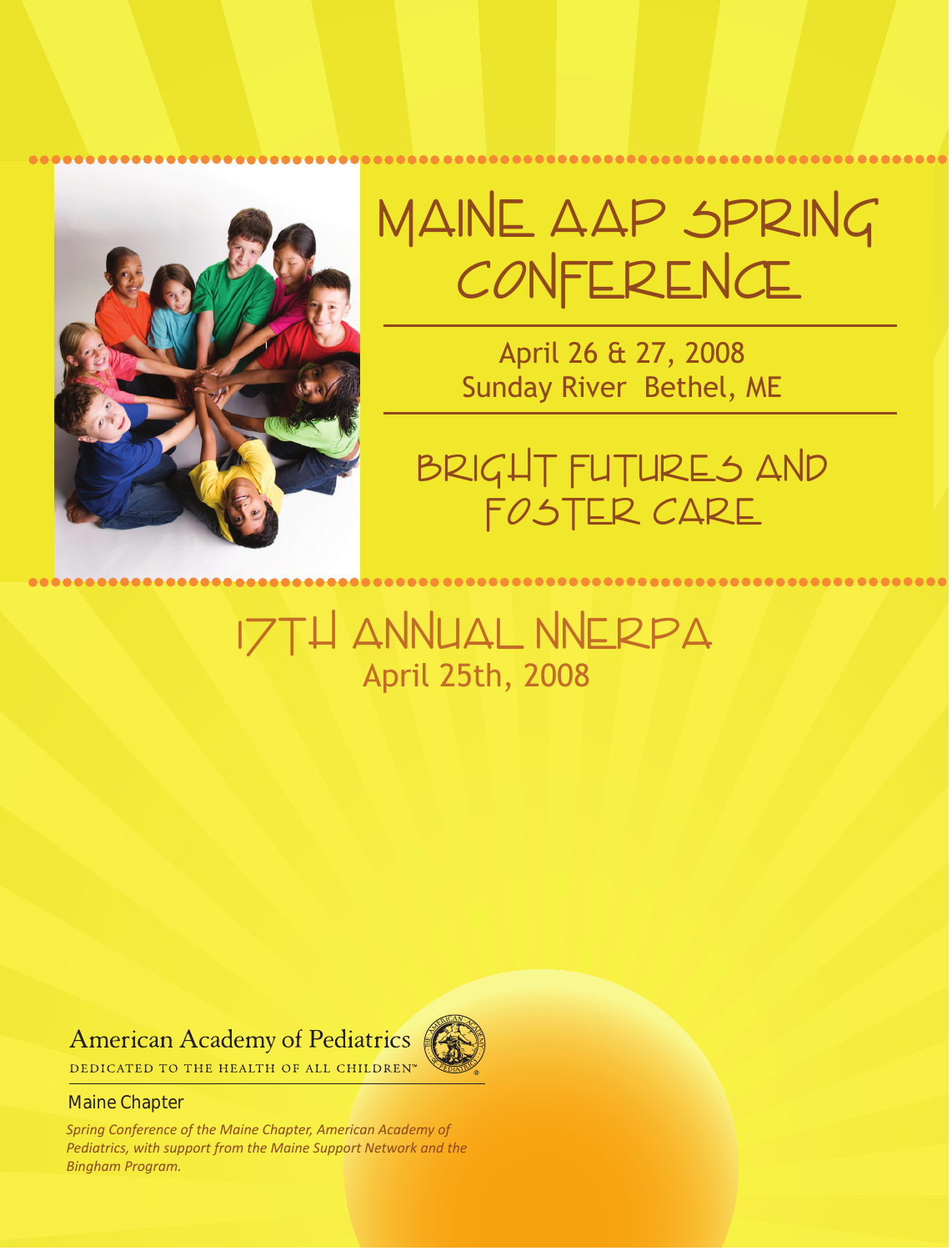

# Maine AAP Spring CONFERENCE

April 26 & 27, 2008 Sunday River Bethel, ME

Bright Futures and Foster Care

## 17th Annual NNERPA April 25th, 2008

## **American Academy of Pediatrics**



DEDICATED TO THE HEALTH OF ALL CHILDREN™

#### Maine Chapter

*Spring Conference of the Maine Chapter, American Academy of Pediatrics, with support from the Maine Support Network and the Bingham Program.*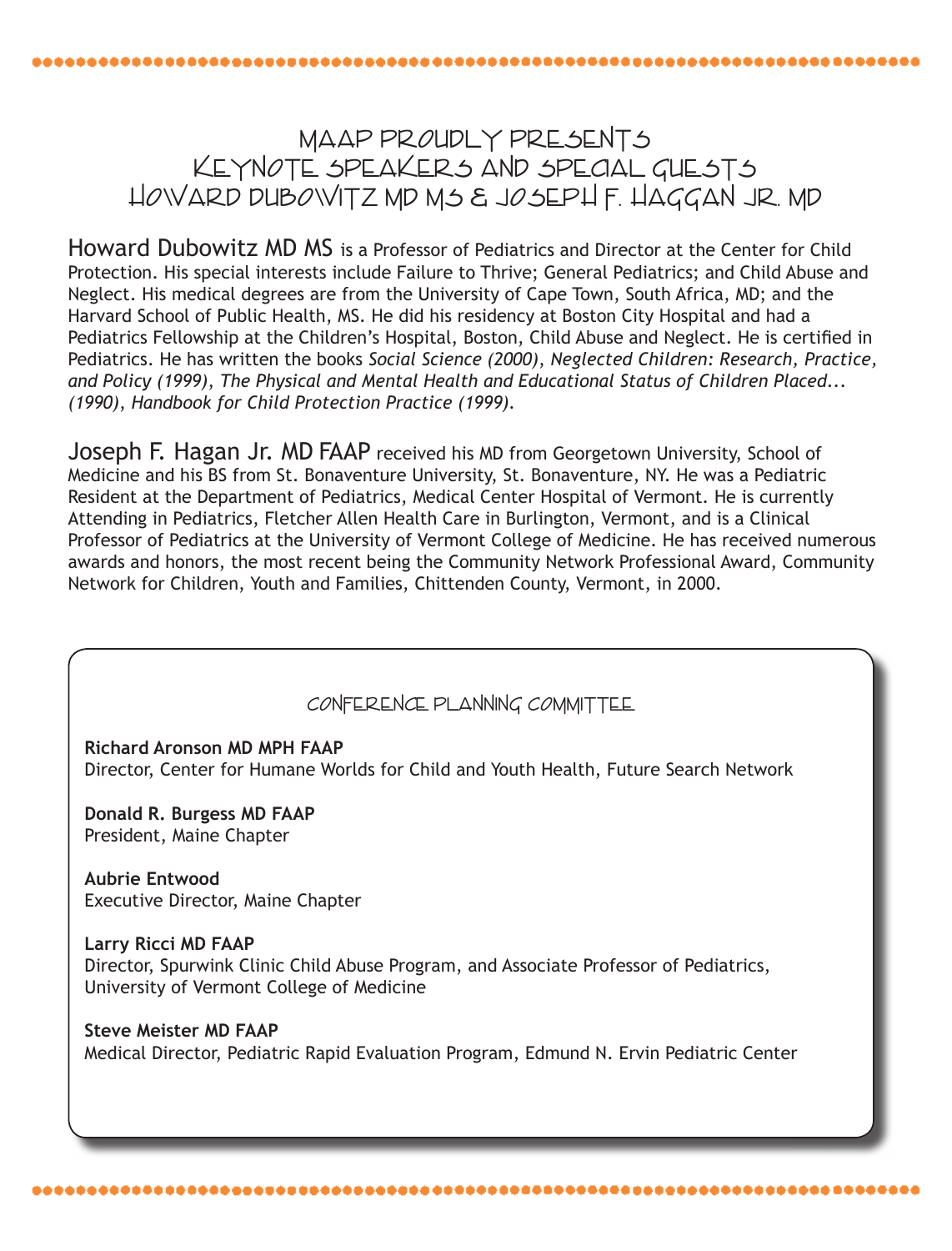## MAAP PROUDLY PRESENTS KEYNOTE SPEAKERS AND SPECIAL GUESTS Howard Dubowitz MD MS & Joseph F. Haggan Jr. MD

Howard Dubowitz MD MS is a Professor of Pediatrics and Director at the Center for Child Protection. His special interests include Failure to Thrive; General Pediatrics; and Child Abuse and Neglect. His medical degrees are from the University of Cape Town, South Africa, MD; and the Harvard School of Public Health, MS. He did his residency at Boston City Hospital and had a Pediatrics Fellowship at the Children's Hospital, Boston, Child Abuse and Neglect. He is certified in Pediatrics. He has written the books *Social Science (2000)*, *Neglected Children: Research, Practice, and Policy (1999)*, *The Physical and Mental Health and Educational Status of Children Placed... (1990)*, *Handbook for Child Protection Practice (1999).*

Joseph F. Hagan Jr. MD FAAP received his MD from Georgetown University, School of Medicine and his BS from St. Bonaventure University, St. Bonaventure, NY. He was a Pediatric Resident at the Department of Pediatrics, Medical Center Hospital of Vermont. He is currently Attending in Pediatrics, Fletcher Allen Health Care in Burlington, Vermont, and is a Clinical Professor of Pediatrics at the University of Vermont College of Medicine. He has received numerous awards and honors, the most recent being the Community Network Professional Award, Community Network for Children, Youth and Families, Chittenden County, Vermont, in 2000.

### Conference Planning Committee

**Richard Aronson MD MPH FAAP** Director, Center for Humane Worlds for Child and Youth Health, Future Search Network

**Donald R. Burgess MD FAAP** President, Maine Chapter

**Aubrie Entwood** Executive Director, Maine Chapter

,,,,,,,,,,,,,,,,,,,,,,,,,,,,,,,,,,,,,

**Larry Ricci MD FAAP** Director, Spurwink Clinic Child Abuse Program, and Associate Professor of Pediatrics, University of Vermont College of Medicine

**Steve Meister MD FAAP** Medical Director, Pediatric Rapid Evaluation Program, Edmund N. Ervin Pediatric Center

\*\*\*\*\*\*\*\*\*\*\*\*\*\*\*\*\*\*\*\*\*\*\*\*\*\*\*\*\*\*\*\*\*\*\*\*\*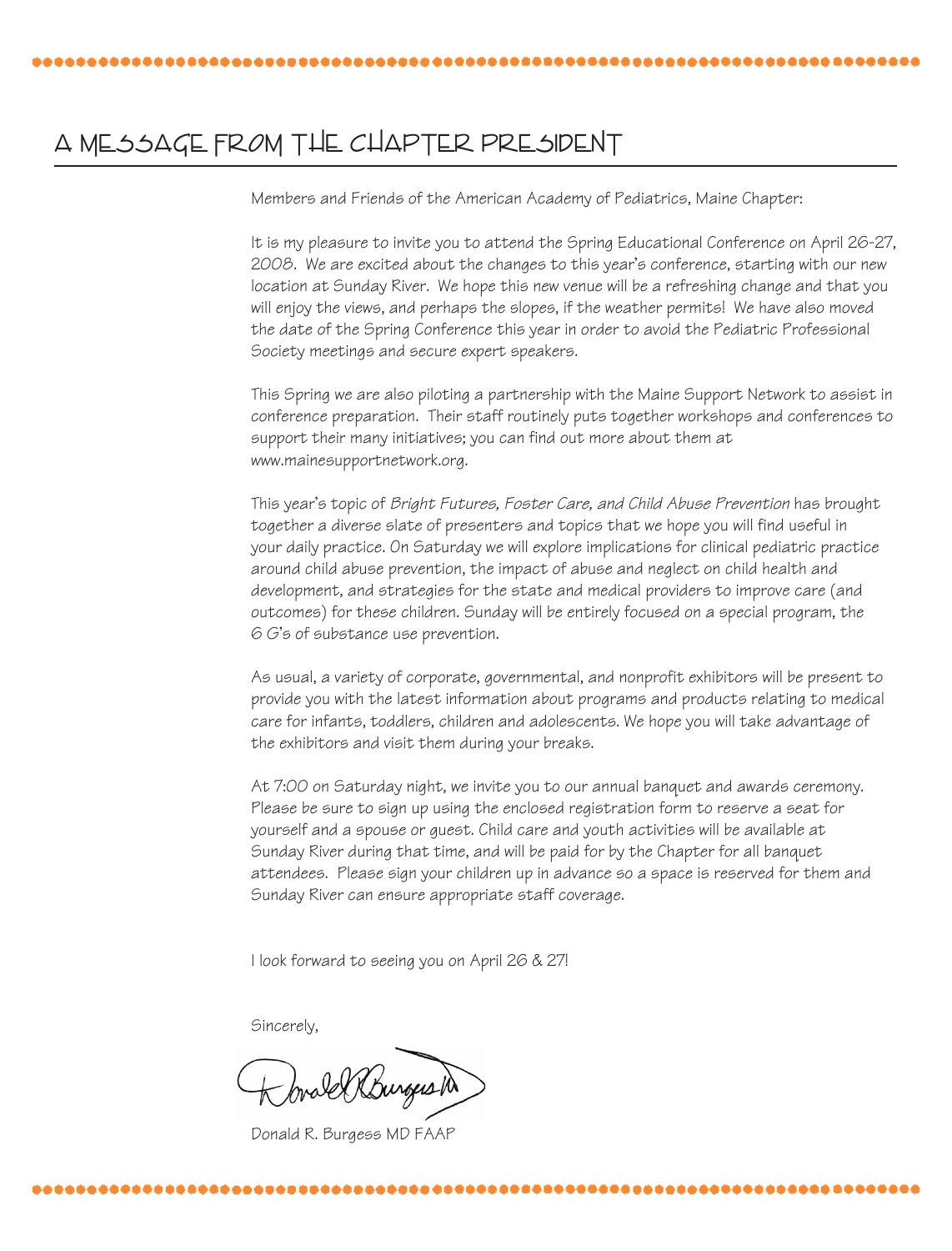## A MESSAGE FROM THE CHAPTER PRESIDENT

Members and Friends of the American Academy of Pediatrics, Maine Chapter:

It is my pleasure to invite you to attend the Spring Educational Conference on April 26-27, 2008. We are excited about the changes to this year's conference, starting with our new location at Sunday River. We hope this new venue will be a refreshing change and that you will enjoy the views, and perhaps the slopes, if the weather permits! We have also moved the date of the Spring Conference this year in order to avoid the Pediatric Professional Society meetings and secure expert speakers.

This Spring we are also piloting a partnership with the Maine Support Network to assist in conference preparation. Their staff routinely puts together workshops and conferences to support their many initiatives; you can find out more about them at www.mainesupportnetwork.org.

This year's topic of *Bright Futures, Foster Care, and Child Abuse Prevention* has brought together a diverse slate of presenters and topics that we hope you will find useful in your daily practice. On Saturday we will explore implications for clinical pediatric practice around child abuse prevention, the impact of abuse and neglect on child health and development, and strategies for the state and medical providers to improve care (and outcomes) for these children. Sunday will be entirely focused on a special program, the 6 G's of substance use prevention.

As usual, a variety of corporate, governmental, and nonprofit exhibitors will be present to provide you with the latest information about programs and products relating to medical care for infants, toddlers, children and adolescents. We hope you will take advantage of the exhibitors and visit them during your breaks.

At 7:00 on Saturday night, we invite you to our annual banquet and awards ceremony. Please be sure to sign up using the enclosed registration form to reserve a seat for yourself and a spouse or guest. Child care and youth activities will be available at Sunday River during that time, and will be paid for by the Chapter for all banquet attendees. Please sign your children up in advance so a space is reserved for them and Sunday River can ensure appropriate staff coverage.

I look forward to seeing you on April 26 & 27!

Sincerely,

,,,,,,,,,,,,,,,,,

bral Rhunges to

Donald R. Burgess MD FAAP

---------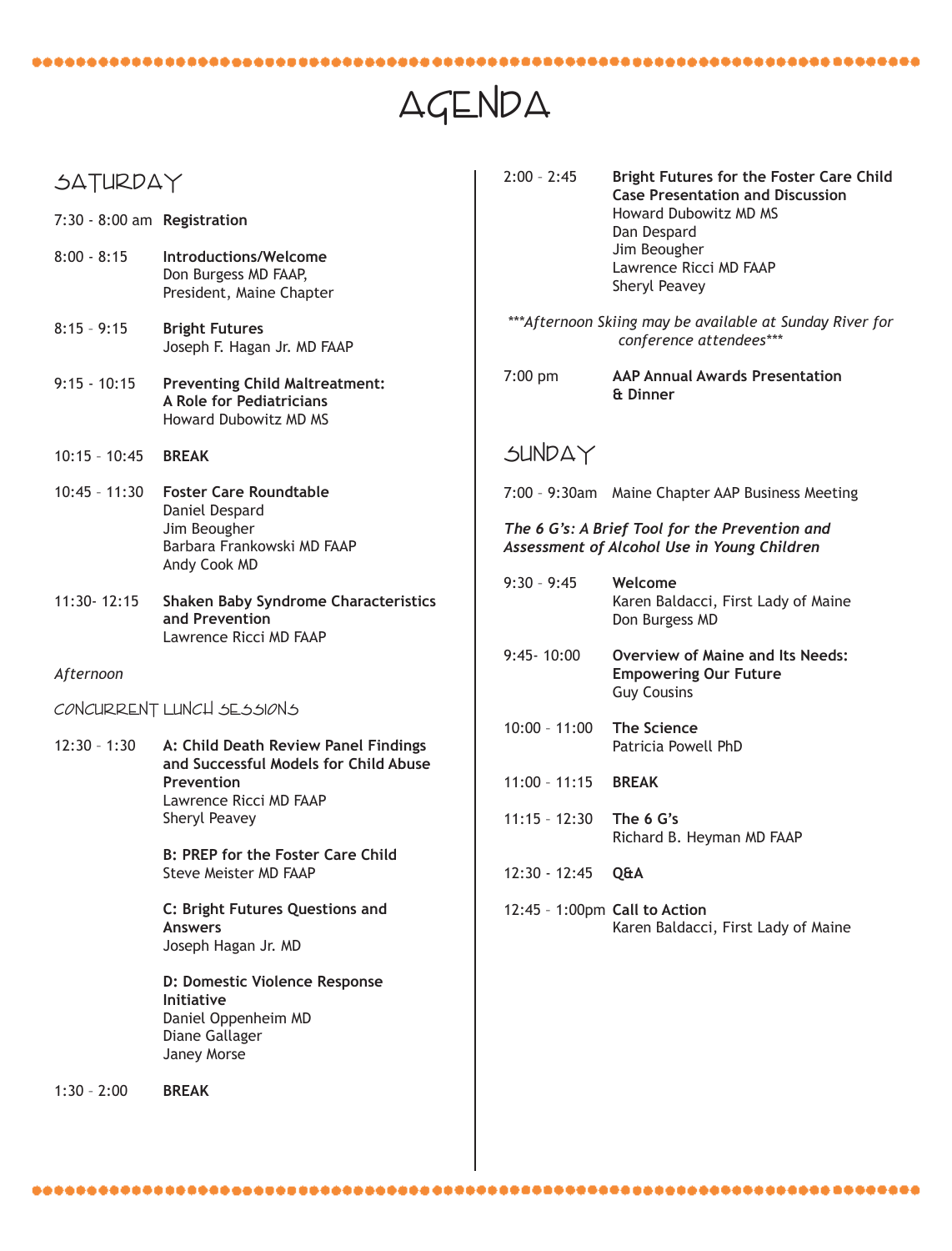## AGENDA

2:00 – 2:45 **Bright Futures for the Foster Care Child** 

 **Case Presentation and Discussion**

## SATURDAY

| 7:30 - 8:00 am Registration |                                                                                                            |                               | Howard Dubowitz MD MS<br>Dan Despard                                                          |  |  |
|-----------------------------|------------------------------------------------------------------------------------------------------------|-------------------------------|-----------------------------------------------------------------------------------------------|--|--|
| $8:00 - 8:15$               | Introductions/Welcome<br>Don Burgess MD FAAP,<br>President, Maine Chapter                                  |                               | Jim Beougher<br>Lawrence Ricci MD FAAP<br>Sheryl Peavey                                       |  |  |
| $8:15 - 9:15$               | <b>Bright Futures</b><br>Joseph F. Hagan Jr. MD FAAP                                                       |                               | *** Afternoon Skiing may be available at Sunday River for<br>conference attendees***          |  |  |
| $9:15 - 10:15$              | <b>Preventing Child Maltreatment:</b><br>A Role for Pediatricians<br><b>Howard Dubowitz MD MS</b>          | $7:00$ pm                     | <b>AAP Annual Awards Presentation</b><br>& Dinner                                             |  |  |
| $10:15 - 10:45$             | <b>BREAK</b>                                                                                               | SUNDAY                        |                                                                                               |  |  |
| $10:45 - 11:30$             | <b>Foster Care Roundtable</b><br>Daniel Despard                                                            |                               | 7:00 - 9:30am Maine Chapter AAP Business Meeting                                              |  |  |
|                             | Jim Beougher<br>Barbara Frankowski MD FAAP<br>Andy Cook MD                                                 |                               | The 6 G's: A Brief Tool for the Prevention and<br>Assessment of Alcohol Use in Young Children |  |  |
| 11:30-12:15                 | <b>Shaken Baby Syndrome Characteristics</b><br>and Prevention<br>Lawrence Ricci MD FAAP                    | $9:30 - 9:45$                 | Welcome<br>Karen Baldacci, First Lady of Maine<br>Don Burgess MD                              |  |  |
| Afternoon                   |                                                                                                            | $9:45 - 10:00$                | <b>Overview of Maine and Its Needs:</b><br><b>Empowering Our Future</b><br><b>Guy Cousins</b> |  |  |
|                             | CONCURRENT LUNCH SESSIONS                                                                                  | $10:00 - 11:00$               | <b>The Science</b>                                                                            |  |  |
| $12:30 - 1:30$              | A: Child Death Review Panel Findings<br>and Successful Models for Child Abuse                              |                               | Patricia Powell PhD                                                                           |  |  |
|                             | Prevention<br>Lawrence Ricci MD FAAP                                                                       | $11:00 - 11:15$               | <b>BREAK</b>                                                                                  |  |  |
|                             | Sheryl Peavey                                                                                              | $11:15 - 12:30$               | The 6 G's<br>Richard B. Heyman MD FAAP                                                        |  |  |
|                             | <b>B: PREP for the Foster Care Child</b><br><b>Steve Meister MD FAAP</b>                                   | $12:30 - 12:45$               | Q&A                                                                                           |  |  |
|                             | C: Bright Futures Questions and<br><b>Answers</b><br>Joseph Hagan Jr. MD                                   | 12:45 - 1:00pm Call to Action | Karen Baldacci, First Lady of Maine                                                           |  |  |
|                             | D: Domestic Violence Response<br><b>Initiative</b><br>Daniel Oppenheim MD<br>Diane Gallager<br>Janey Morse |                               |                                                                                               |  |  |
| $1:30 - 2:00$               | <b>BREAK</b>                                                                                               |                               |                                                                                               |  |  |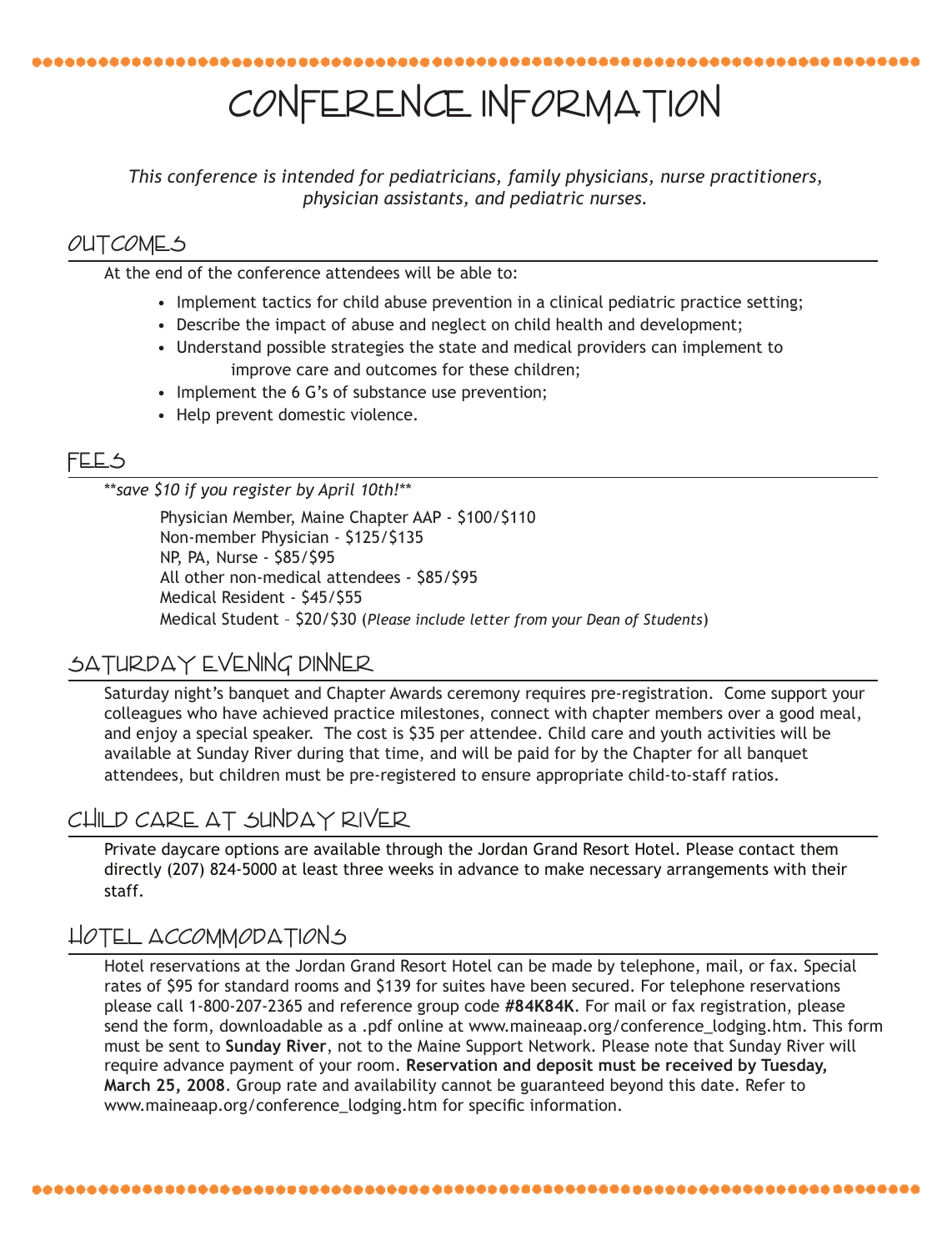## Conference Information

*This conference is intended for pediatricians, family physicians, nurse practitioners, physician assistants, and pediatric nurses.*

### **OUTCOMES**

At the end of the conference attendees will be able to:

- Implement tactics for child abuse prevention in a clinical pediatric practice setting;
- Describe the impact of abuse and neglect on child health and development;
- Understand possible strategies the state and medical providers can implement to improve care and outcomes for these children;
- Implement the 6 G's of substance use prevention;
- Help prevent domestic violence.

#### Fees

\*\**save \$10 if you register by April 10th!*\*\*

Physician Member, Maine Chapter AAP - \$100/\$110 Non-member Physician - \$125/\$135 NP, PA, Nurse - \$85/\$95 All other non-medical attendees - \$85/\$95 Medical Resident - \$45/\$55 Medical Student – \$20/\$30 (*Please include letter from your Dean of Students*)

### SATURDAY EVENING DINNER

Saturday night's banquet and Chapter Awards ceremony requires pre-registration. Come support your colleagues who have achieved practice milestones, connect with chapter members over a good meal, and enjoy a special speaker. The cost is \$35 per attendee. Child care and youth activities will be available at Sunday River during that time, and will be paid for by the Chapter for all banquet attendees, but children must be pre-registered to ensure appropriate child-to-staff ratios.

### Child Care at Sunday River

Private daycare options are available through the Jordan Grand Resort Hotel. Please contact them directly (207) 824-5000 at least three weeks in advance to make necessary arrangements with their staff.

### Hotel Accommodations

Hotel reservations at the Jordan Grand Resort Hotel can be made by telephone, mail, or fax. Special rates of \$95 for standard rooms and \$139 for suites have been secured. For telephone reservations please call 1-800-207-2365 and reference group code **#84K84K**. For mail or fax registration, please send the form, downloadable as a .pdf online at www.maineaap.org/conference\_lodging.htm. This form must be sent to **Sunday River**, not to the Maine Support Network. Please note that Sunday River will require advance payment of your room. **Reservation and deposit must be received by Tuesday, March 25, 2008**. Group rate and availability cannot be guaranteed beyond this date. Refer to www.maineaap.org/conference\_lodging.htm for specific information.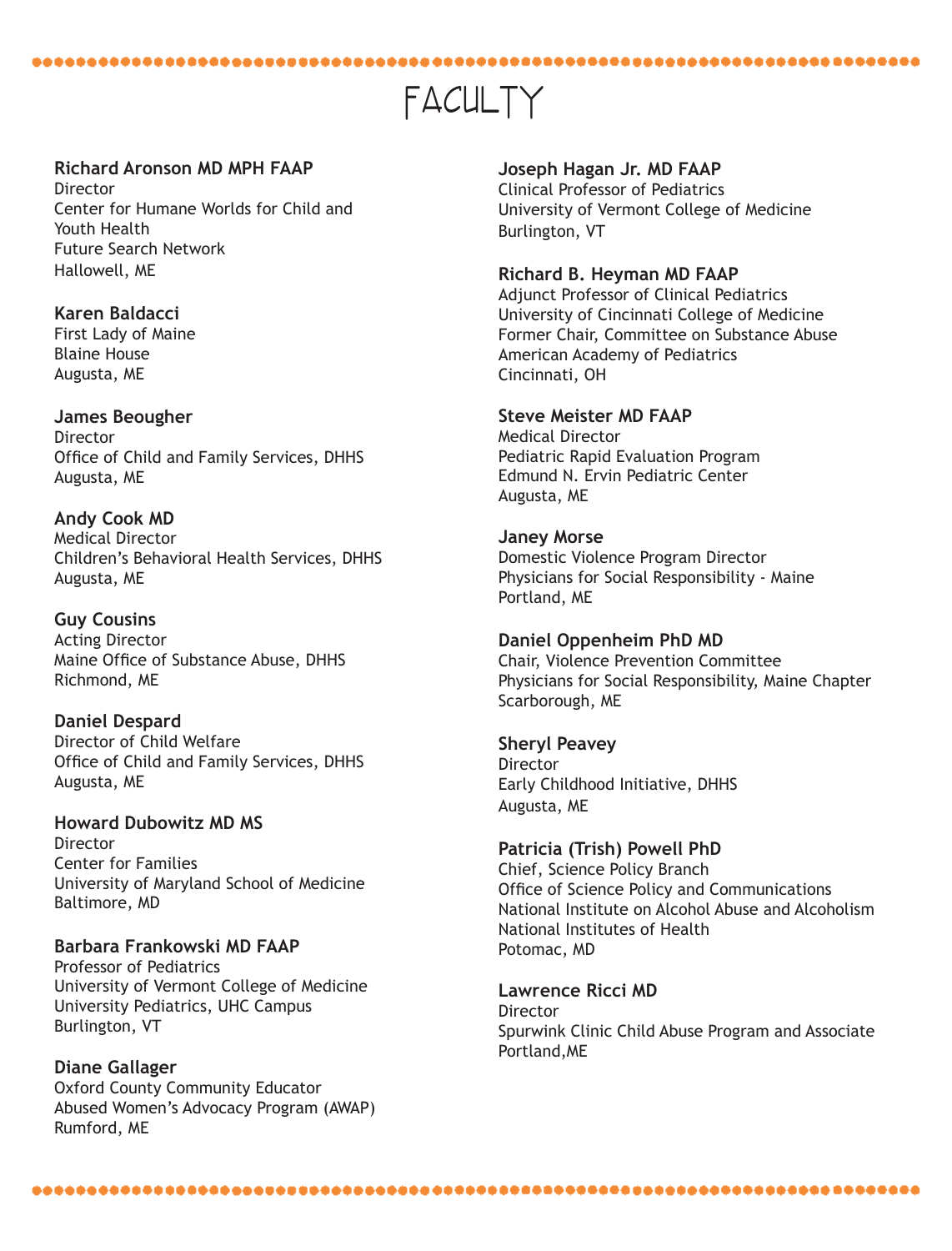## FACULTY

#### **Richard Aronson MD MPH FAAP**

Director Center for Humane Worlds for Child and Youth Health Future Search Network Hallowell, ME

#### **Karen Baldacci**

First Lady of Maine Blaine House Augusta, ME

**James Beougher** Director Office of Child and Family Services, DHHS Augusta, ME

**Andy Cook MD** Medical Director Children's Behavioral Health Services, DHHS Augusta, ME

**Guy Cousins** Acting Director Maine Office of Substance Abuse, DHHS Richmond, ME

**Daniel Despard**  Director of Child Welfare Office of Child and Family Services, DHHS Augusta, ME

**Howard Dubowitz MD MS Director** Center for Families University of Maryland School of Medicine Baltimore, MD

**Barbara Frankowski MD FAAP** Professor of Pediatrics University of Vermont College of Medicine University Pediatrics, UHC Campus Burlington, VT

**Diane Gallager** Oxford County Community Educator Abused Women's Advocacy Program (AWAP) Rumford, ME

**Joseph Hagan Jr. MD FAAP** Clinical Professor of Pediatrics

University of Vermont College of Medicine Burlington, VT

#### **Richard B. Heyman MD FAAP**

Adjunct Professor of Clinical Pediatrics University of Cincinnati College of Medicine Former Chair, Committee on Substance Abuse American Academy of Pediatrics Cincinnati, OH

#### **Steve Meister MD FAAP**

Medical Director Pediatric Rapid Evaluation Program Edmund N. Ervin Pediatric Center Augusta, ME

#### **Janey Morse**

Domestic Violence Program Director Physicians for Social Responsibility - Maine Portland, ME

#### **Daniel Oppenheim PhD MD**

Chair, Violence Prevention Committee Physicians for Social Responsibility, Maine Chapter Scarborough, ME

#### **Sheryl Peavey**

**Director** Early Childhood Initiative, DHHS Augusta, ME

#### **Patricia (Trish) Powell PhD** Chief, Science Policy Branch

Office of Science Policy and Communications National Institute on Alcohol Abuse and Alcoholism National Institutes of Health Potomac, MD

**Lawrence Ricci MD** Director Spurwink Clinic Child Abuse Program and Associate Portland,ME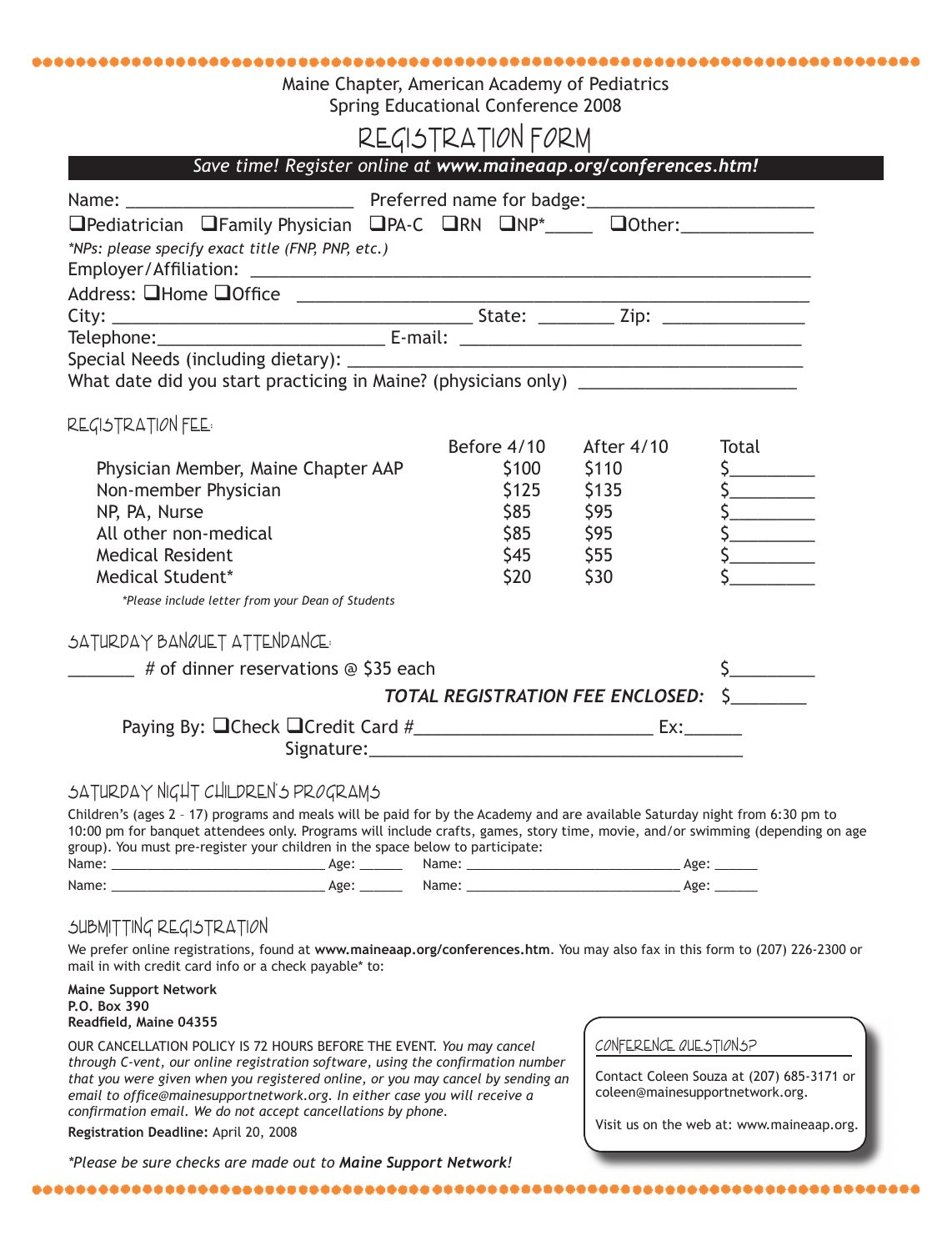#### Maine Chapter, American Academy of Pediatrics Spring Educational Conference 2008

## REGISTRATION FORM

| Save time! Register online at www.maineaap.org/conferences.htm!                                                                                                                                           |                                                              |                                                                 |            |
|-----------------------------------------------------------------------------------------------------------------------------------------------------------------------------------------------------------|--------------------------------------------------------------|-----------------------------------------------------------------|------------|
|                                                                                                                                                                                                           |                                                              |                                                                 |            |
| □Pediatrician □Family Physician □PA-C □RN □NP*_____ □Other:_______________<br>*NPs: please specify exact title (FNP, PNP, etc.)                                                                           |                                                              |                                                                 |            |
|                                                                                                                                                                                                           |                                                              |                                                                 |            |
|                                                                                                                                                                                                           |                                                              |                                                                 |            |
|                                                                                                                                                                                                           |                                                              |                                                                 |            |
|                                                                                                                                                                                                           |                                                              |                                                                 |            |
| REGISTRATION FEE:                                                                                                                                                                                         |                                                              |                                                                 |            |
| Physician Member, Maine Chapter AAP<br>Non-member Physician<br>NP, PA, Nurse<br>All other non-medical<br><b>Medical Resident</b><br>Medical Student*<br>*Please include letter from your Dean of Students | Before 4/10<br>\$100<br>\$125<br>\$85<br>$$45$ $$55$<br>\$20 | After 4/10<br>\$110<br>\$135<br>\$95<br>\$85 \$95<br><b>S30</b> | Total<br>S |
| SATURDAY BANQUET ATTENDANCE                                                                                                                                                                               |                                                              |                                                                 |            |
| $\frac{1}{2}$ # of dinner reservations @ \$35 each                                                                                                                                                        |                                                              |                                                                 |            |
|                                                                                                                                                                                                           |                                                              | TOTAL REGISTRATION FEE ENCLOSED: S                              |            |
|                                                                                                                                                                                                           |                                                              |                                                                 |            |

#### SATURDAY NIGHT CHILDREN'S PROGRAMS

Children's (ages 2 – 17) programs and meals will be paid for by the Academy and are available Saturday night from 6:30 pm to 10:00 pm for banquet attendees only. Programs will include crafts, games, story time, movie, and/or swimming (depending on age group). You must pre-register your children in the space below to participate: Name: \_\_\_\_\_\_\_\_\_\_\_\_\_\_\_\_\_\_\_\_\_\_\_\_\_\_\_\_\_\_ Age: \_\_\_\_\_\_ Name: \_\_\_\_\_\_\_\_\_\_\_\_\_\_\_\_\_\_\_\_\_\_\_\_\_\_\_\_\_\_ Age: \_\_\_\_\_\_

| 1141112.          | $\sim$        | 1141112. | re- |
|-------------------|---------------|----------|-----|
| <b>STATISTICS</b> | $\sim$        |          |     |
| Name              | へとし<br>$\sim$ | чане.    | ำ≃⊾ |

#### SUBMITTING REGISTRATION

We prefer online registrations, found at **www.maineaap.org/conferences.htm**. You may also fax in this form to (207) 226-2300 or mail in with credit card info or a check payable\* to:

**Maine Support Network P.O. Box 390 Readfield, Maine 04355** 

OUR CANCELLATION POLICY IS 72 HOURS BEFORE THE EVENT. *You may cancel through C-vent, our online registration software, using the confirmation number that you were given when you registered online, or you may cancel by sending an*  email to office@mainesupportnetwork.org. In either case you will receive a *confirmation email. We do not accept cancellations by phone.* 

#### **Registration Deadline:** April 20, 2008

*\*Please be sure checks are made out to Maine Support Network!*

Conference Questions?

Contact Coleen Souza at (207) 685-3171 or coleen@mainesupportnetwork.org.

Visit us on the web at: www.maineaap.org.